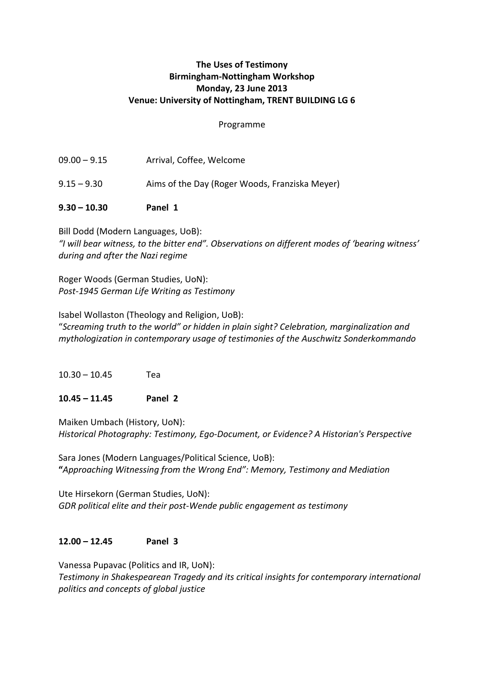# **The Uses of Testimony Birmingham-Nottingham Workshop Monday, 23 June 2013 Venue: University of Nottingham, TRENT BUILDING LG 6**

#### Programme

- 09.00 9.15 Arrival, Coffee, Welcome 9.15 – 9.30 Aims of the Day (Roger Woods, Franziska Meyer)
- **9.30 – 10.30 Panel 1**

Bill Dodd (Modern Languages, UoB): *"I will bear witness, to the bitter end". Observations on different modes of 'bearing witness' during and after the Nazi regime*

Roger Woods (German Studies, UoN): *Post-1945 German Life Writing as Testimony*

Isabel Wollaston (Theology and Religion, UoB): "*Screaming truth to the world" or hidden in plain sight? Celebration, marginalization and mythologization in contemporary usage of testimonies of the Auschwitz Sonderkommando*

 $10.30 - 10.45$  Tea

# **10.45 – 11.45 Panel 2**

Maiken Umbach (History, UoN): *Historical Photography: Testimony, Ego-Document, or Evidence? A Historian's Perspective*

Sara Jones (Modern Languages/Political Science, UoB): **"***Approaching Witnessing from the Wrong End": Memory, Testimony and Mediation*

Ute Hirsekorn (German Studies, UoN): *GDR political elite and their post-Wende public engagement as testimony*

# **12.00 – 12.45 Panel 3**

Vanessa Pupavac (Politics and IR, UoN): *Testimony in Shakespearean Tragedy and its critical insights for contemporary international politics and concepts of global justice*